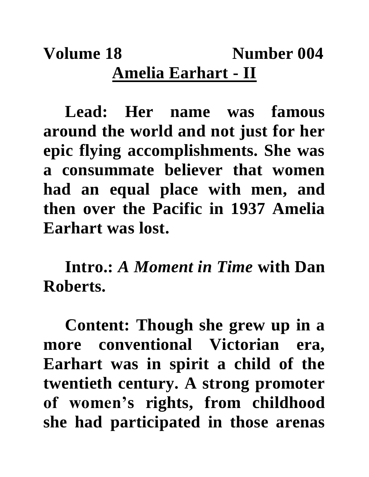## Volume 18 Number 004 **Amelia Earhart - II**

**Lead: Her name was famous around the world and not just for her epic flying accomplishments. She was a consummate believer that women had an equal place with men, and then over the Pacific in 1937 Amelia Earhart was lost.**

**Intro.:** *A Moment in Time* **with Dan Roberts.**

**Content: Though she grew up in a more conventional Victorian era, Earhart was in spirit a child of the twentieth century. A strong promoter of women's rights, from childhood she had participated in those arenas**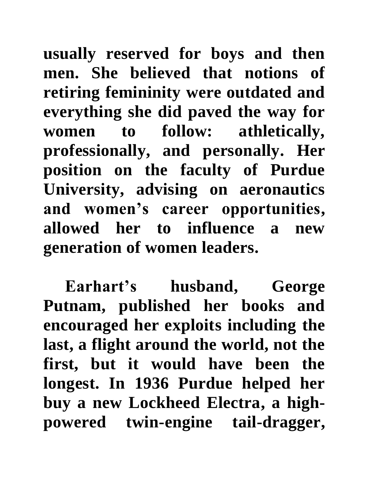**usually reserved for boys and then men. She believed that notions of retiring femininity were outdated and everything she did paved the way for women to follow: athletically, professionally, and personally. Her position on the faculty of Purdue University, advising on aeronautics and women's career opportunities, allowed her to influence a new generation of women leaders.**

**Earhart's husband, George Putnam, published her books and encouraged her exploits including the last, a flight around the world, not the first, but it would have been the longest. In 1936 Purdue helped her buy a new Lockheed Electra, a highpowered twin-engine tail-dragger,**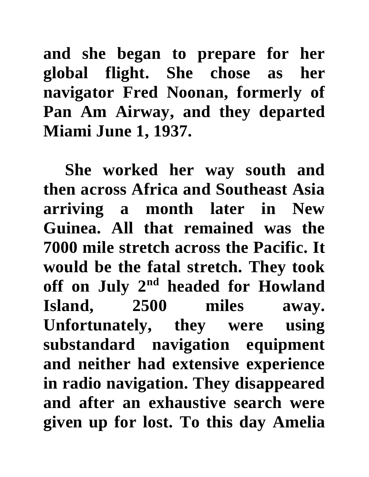**and she began to prepare for her global flight. She chose as her navigator Fred Noonan, formerly of Pan Am Airway, and they departed Miami June 1, 1937.** 

**She worked her way south and then across Africa and Southeast Asia arriving a month later in New Guinea. All that remained was the 7000 mile stretch across the Pacific. It would be the fatal stretch. They took off on July 2nd headed for Howland Island, 2500 miles away. Unfortunately, they were using substandard navigation equipment and neither had extensive experience in radio navigation. They disappeared and after an exhaustive search were given up for lost. To this day Amelia**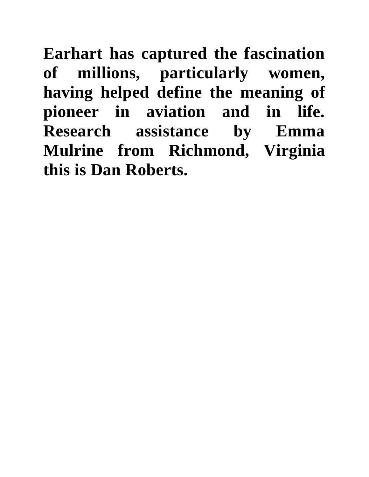**Earhart has captured the fascination of millions, particularly women, having helped define the meaning of pioneer in aviation and in life. Research assistance by Emma Mulrine from Richmond, Virginia this is Dan Roberts.**